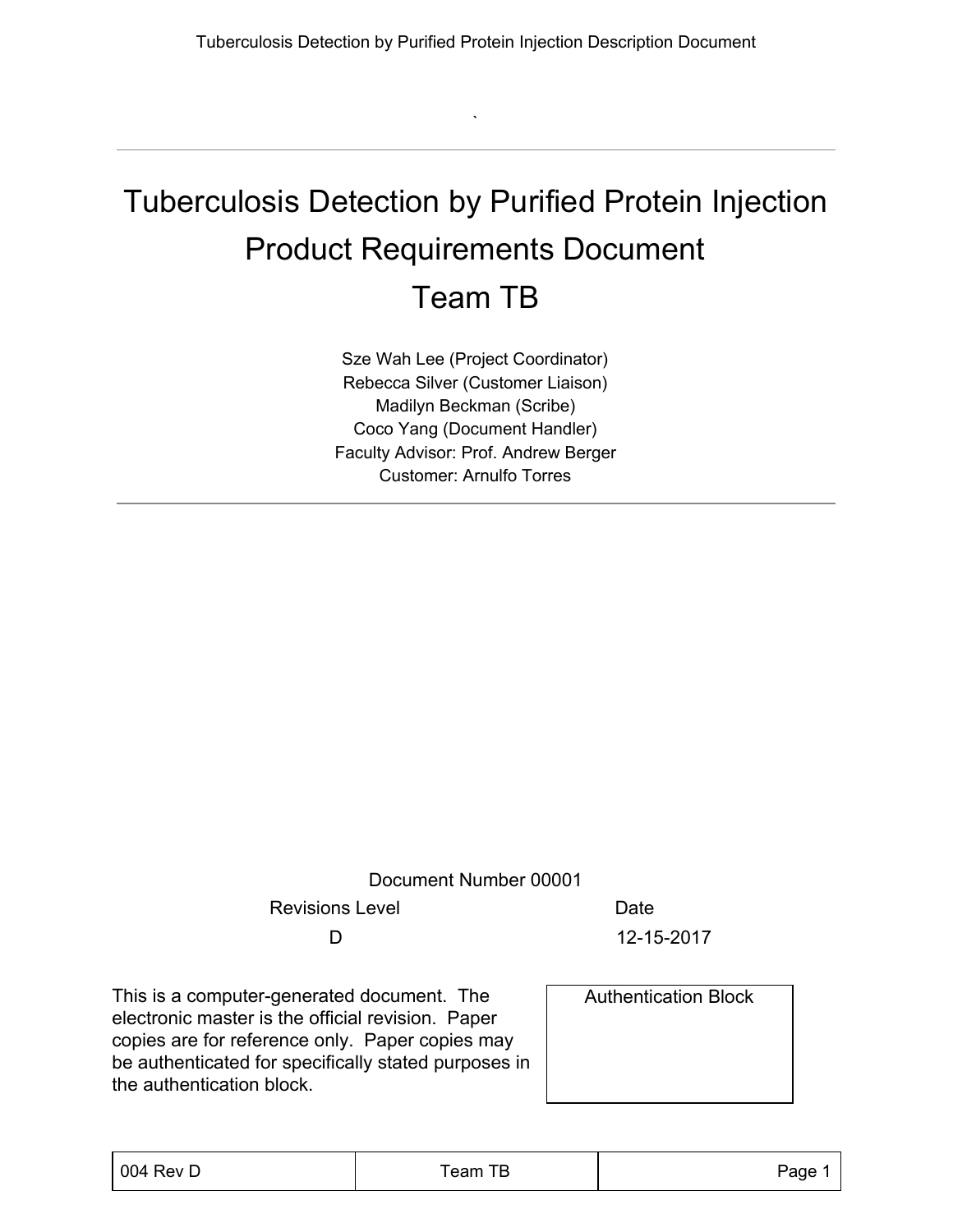`

## Tuberculosis Detection by Purified Protein Injection Product Requirements Document Team TB

Sze Wah Lee (Project Coordinator) Rebecca Silver (Customer Liaison) Madilyn Beckman (Scribe) Coco Yang (Document Handler) Faculty Advisor: Prof. Andrew Berger Customer: Arnulfo Torres

Document Number 00001

Revisions Level **Date** 

D 12-15-2017

This is a computer-generated document. The electronic master is the official revision. Paper copies are for reference only. Paper copies may be authenticated for specifically stated purposes in the authentication block.

Authentication Block

| 004 Rev D | Team TB | Page 1 |
|-----------|---------|--------|
|           |         |        |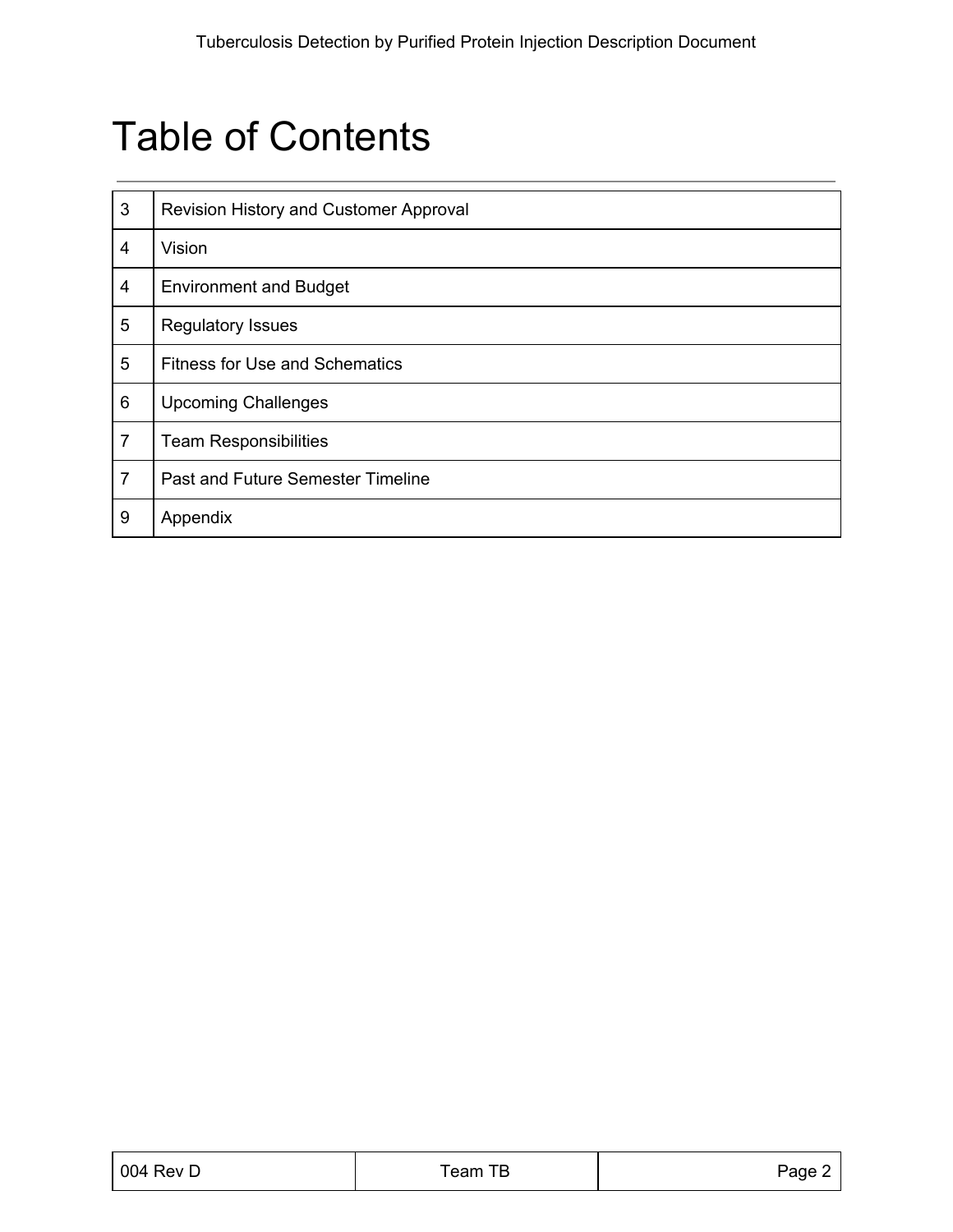## Table of Contents

| 3              | Revision History and Customer Approval |
|----------------|----------------------------------------|
| 4              | Vision                                 |
| 4              | <b>Environment and Budget</b>          |
| 5              | <b>Regulatory Issues</b>               |
| 5              | <b>Fitness for Use and Schematics</b>  |
| 6              | <b>Upcoming Challenges</b>             |
| 7              | <b>Team Responsibilities</b>           |
| $\overline{7}$ | Past and Future Semester Timeline      |
| 9              | Appendix                               |

| 004 Rev D | Team TB | Page 2 |
|-----------|---------|--------|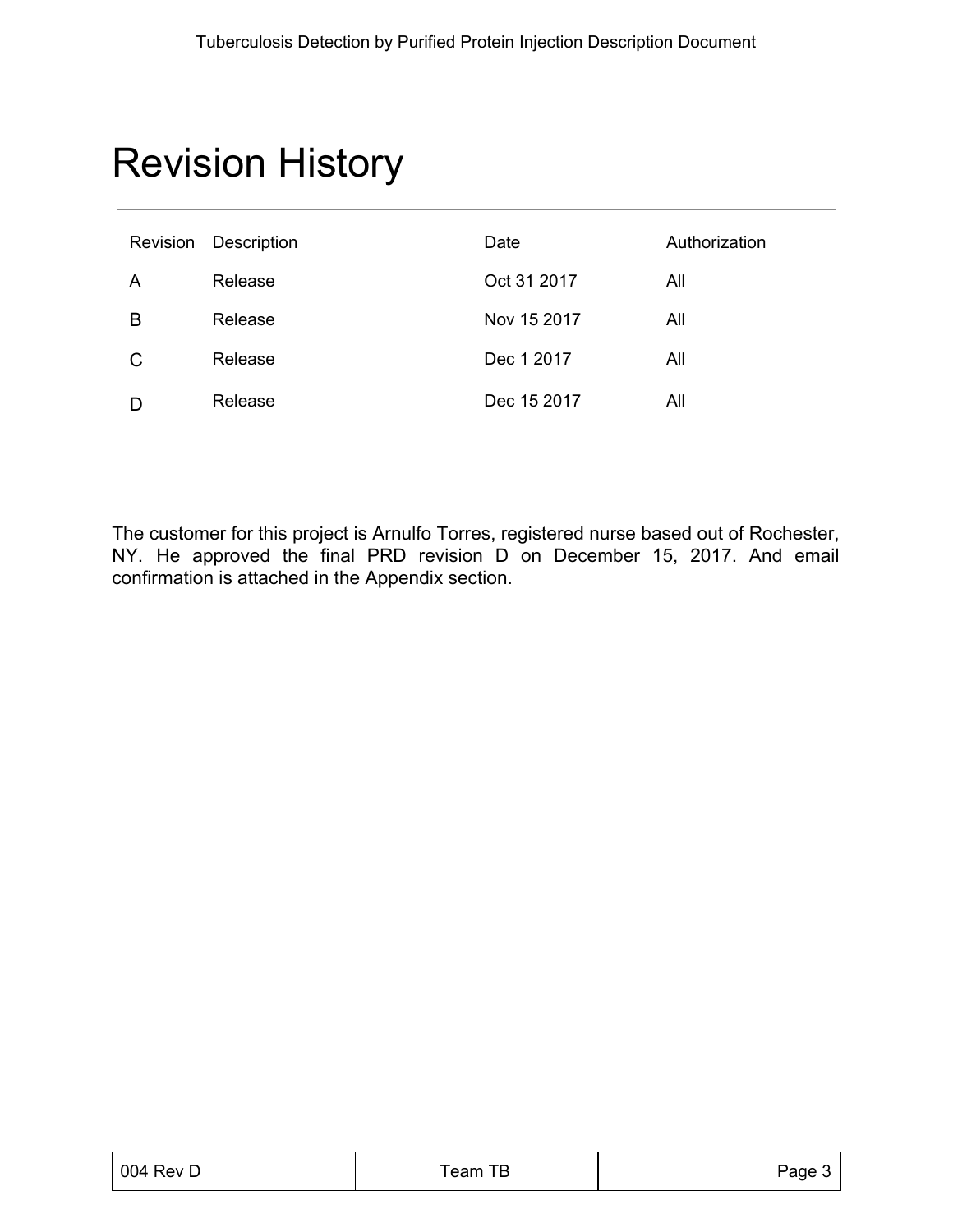# Revision History

| Revision | Description | Date        | Authorization |
|----------|-------------|-------------|---------------|
| A        | Release     | Oct 31 2017 | All           |
| B        | Release     | Nov 15 2017 | All           |
| C        | Release     | Dec 1 2017  | All           |
|          | Release     | Dec 15 2017 | All           |

The customer for this project is Arnulfo Torres, registered nurse based out of Rochester, NY. He approved the final PRD revision D on December 15, 2017. And email confirmation is attached in the Appendix section.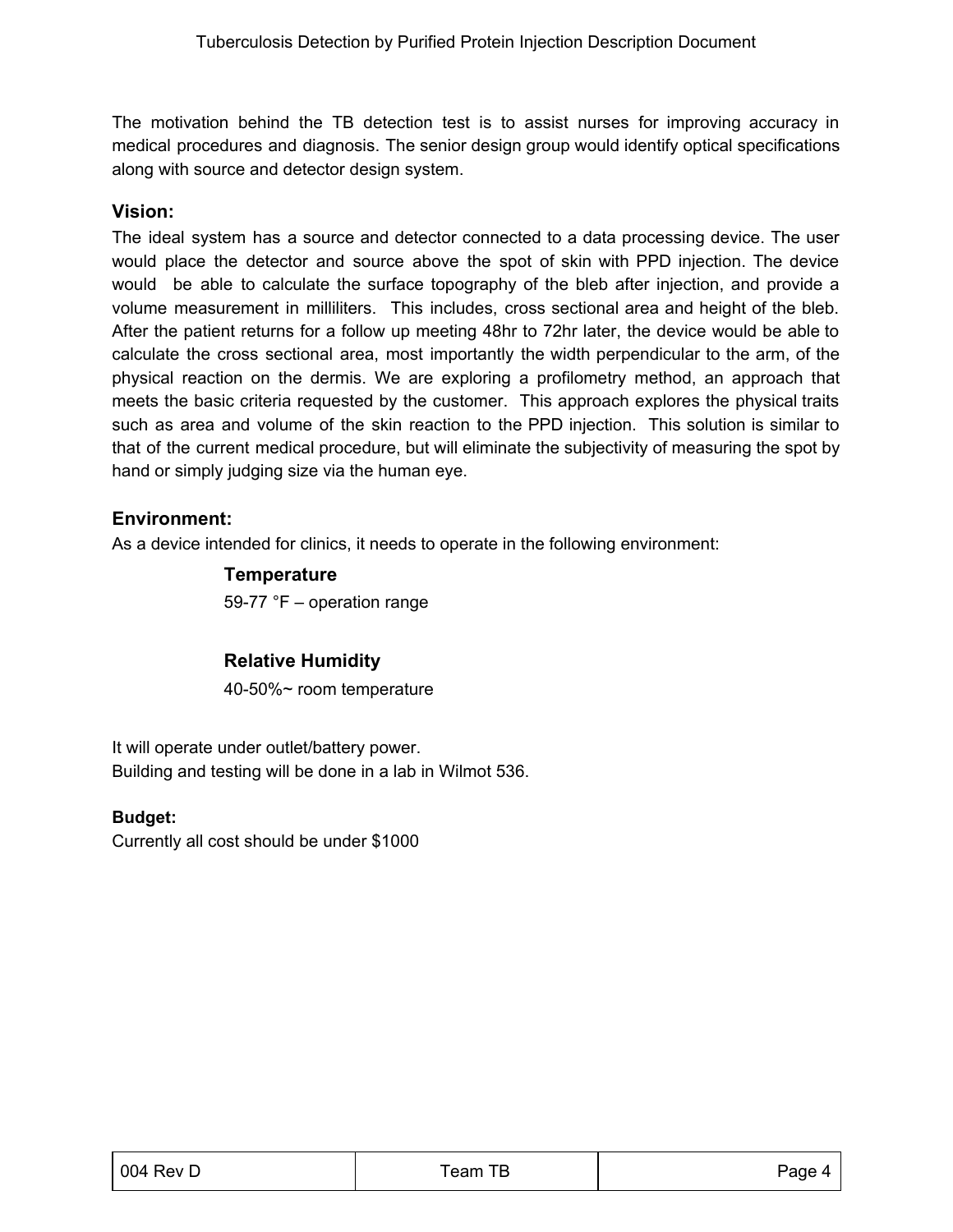The motivation behind the TB detection test is to assist nurses for improving accuracy in medical procedures and diagnosis. The senior design group would identify optical specifications along with source and detector design system.

#### **Vision:**

The ideal system has a source and detector connected to a data processing device. The user would place the detector and source above the spot of skin with PPD injection. The device would be able to calculate the surface topography of the bleb after injection, and provide a volume measurement in milliliters. This includes, cross sectional area and height of the bleb. After the patient returns for a follow up meeting 48hr to 72hr later, the device would be able to calculate the cross sectional area, most importantly the width perpendicular to the arm, of the physical reaction on the dermis. We are exploring a profilometry method, an approach that meets the basic criteria requested by the customer. This approach explores the physical traits such as area and volume of the skin reaction to the PPD injection. This solution is similar to that of the current medical procedure, but will eliminate the subjectivity of measuring the spot by hand or simply judging size via the human eye.

#### **Environment:**

As a device intended for clinics, it needs to operate in the following environment:

#### **Temperature**

59-77 °F – operation range

#### **Relative Humidity**

40-50%~ room temperature

It will operate under outlet/battery power. Building and testing will be done in a lab in Wilmot 536.

#### **Budget:**

Currently all cost should be under \$1000

| 004 Rev D | Team TB | Page 4 |
|-----------|---------|--------|
|           |         |        |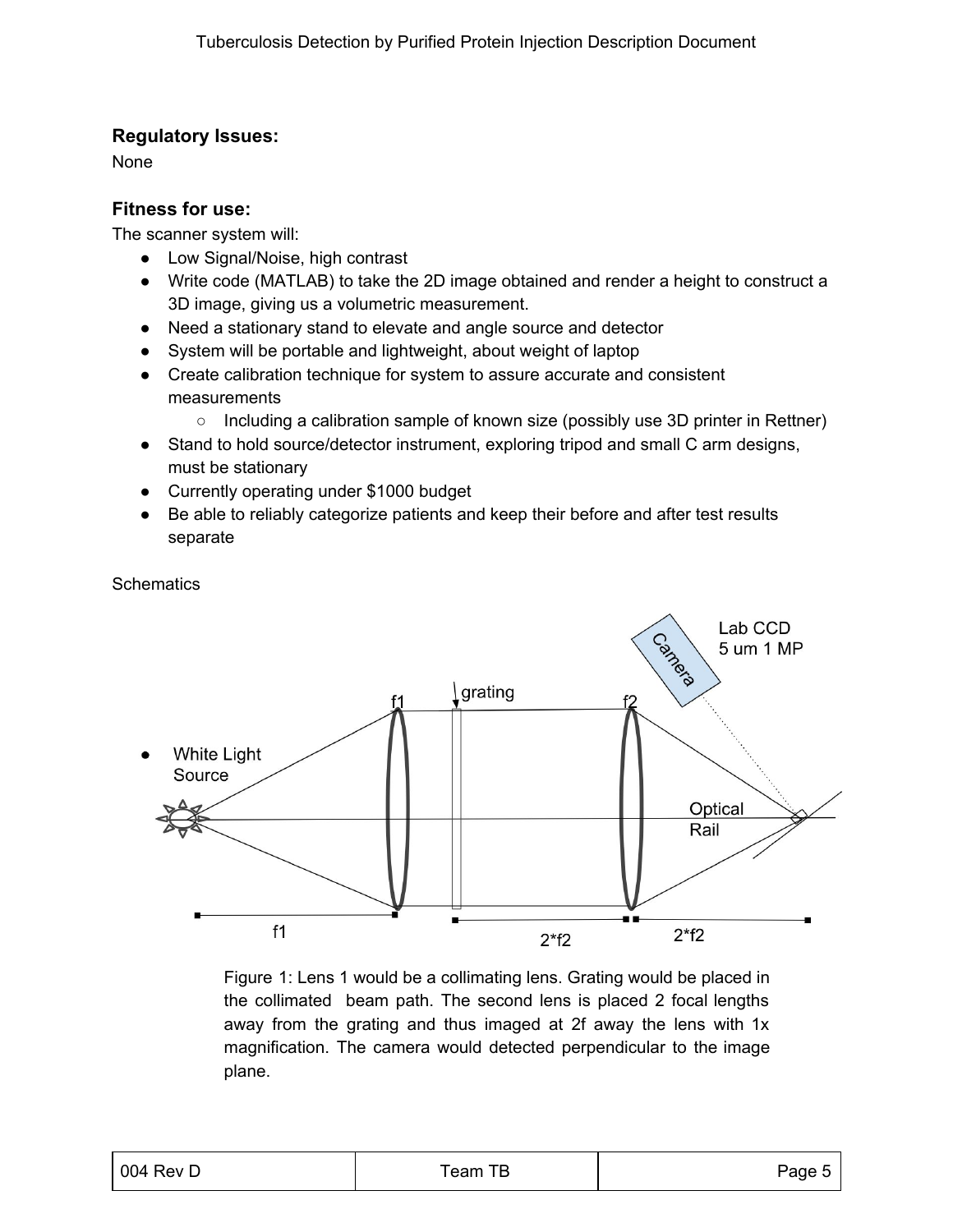#### **Regulatory Issues:**

None

#### **Fitness for use:**

The scanner system will:

- Low Signal/Noise, high contrast
- Write code (MATLAB) to take the 2D image obtained and render a height to construct a 3D image, giving us a volumetric measurement.
- Need a stationary stand to elevate and angle source and detector
- System will be portable and lightweight, about weight of laptop
- Create calibration technique for system to assure accurate and consistent measurements
	- Including a calibration sample of known size (possibly use 3D printer in Rettner)
- Stand to hold source/detector instrument, exploring tripod and small C arm designs, must be stationary
- Currently operating under \$1000 budget
- Be able to reliably categorize patients and keep their before and after test results separate

**Schematics** 



Figure 1: Lens 1 would be a collimating lens. Grating would be placed in the collimated beam path. The second lens is placed 2 focal lengths away from the grating and thus imaged at 2f away the lens with 1x magnification. The camera would detected perpendicular to the image plane.

| $\vert$ 004 Rev D | Team TB | Page 5 |
|-------------------|---------|--------|
|                   |         |        |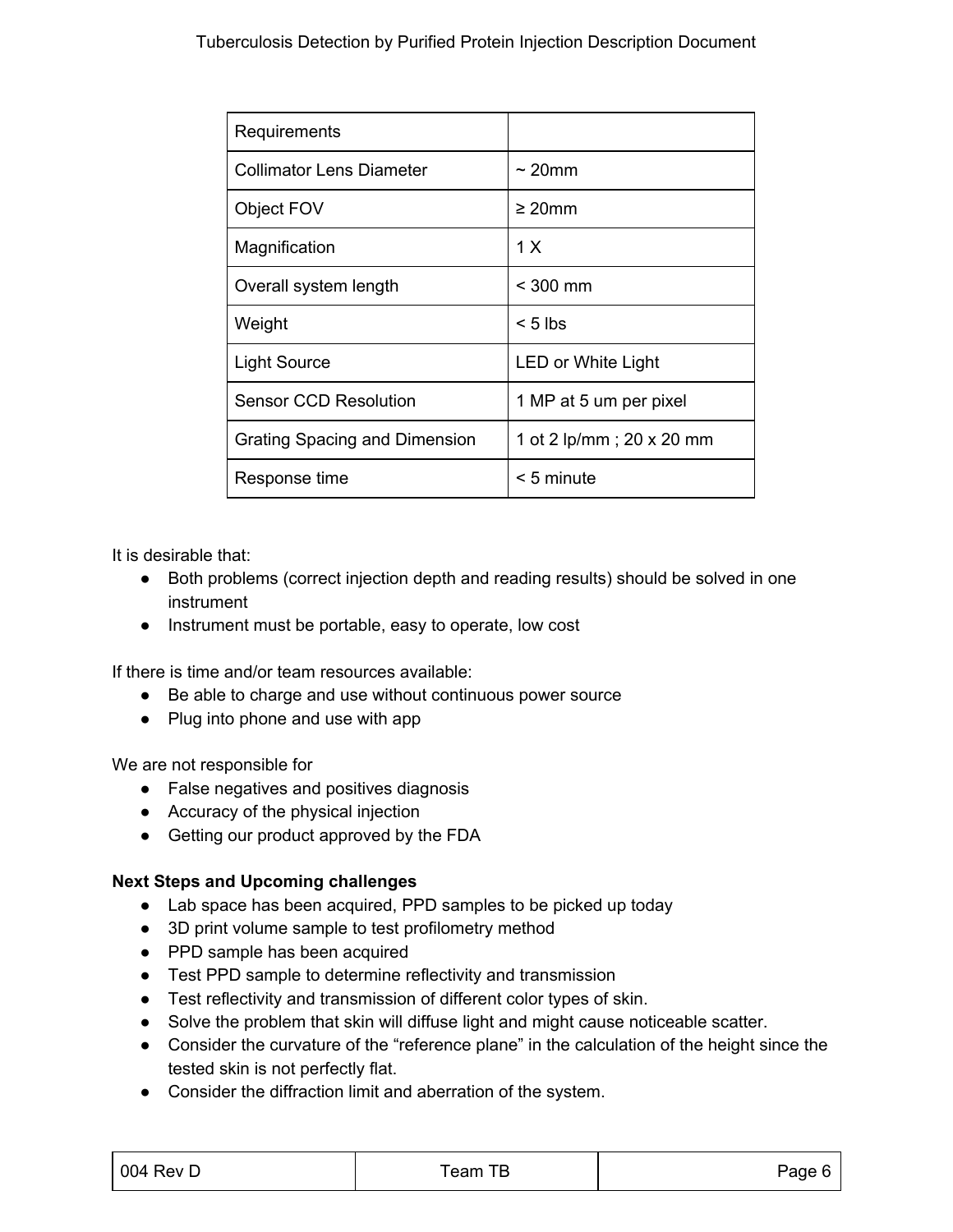| Requirements                  |                          |
|-------------------------------|--------------------------|
| Collimator Lens Diameter      | $\sim$ 20mm              |
| Object FOV                    | $\geq 20$ mm             |
| Magnification                 | 1 X                      |
| Overall system length         | $<$ 300 mm               |
| Weight                        | $< 5$ lbs                |
| <b>Light Source</b>           | LED or White Light       |
| <b>Sensor CCD Resolution</b>  | 1 MP at 5 um per pixel   |
| Grating Spacing and Dimension | 1 ot 2 lp/mm; 20 x 20 mm |
| Response time                 | $< 5$ minute             |

It is desirable that:

- Both problems (correct injection depth and reading results) should be solved in one instrument
- Instrument must be portable, easy to operate, low cost

If there is time and/or team resources available:

- Be able to charge and use without continuous power source
- Plug into phone and use with app

We are not responsible for

- False negatives and positives diagnosis
- Accuracy of the physical injection
- Getting our product approved by the FDA

#### **Next Steps and Upcoming challenges**

- Lab space has been acquired, PPD samples to be picked up today
- 3D print volume sample to test profilometry method
- PPD sample has been acquired
- Test PPD sample to determine reflectivity and transmission
- Test reflectivity and transmission of different color types of skin.
- Solve the problem that skin will diffuse light and might cause noticeable scatter.
- Consider the curvature of the "reference plane" in the calculation of the height since the tested skin is not perfectly flat.
- Consider the diffraction limit and aberration of the system.

| 004 Rev D | Feam<br>ப<br>Ð | Page |
|-----------|----------------|------|
|           |                |      |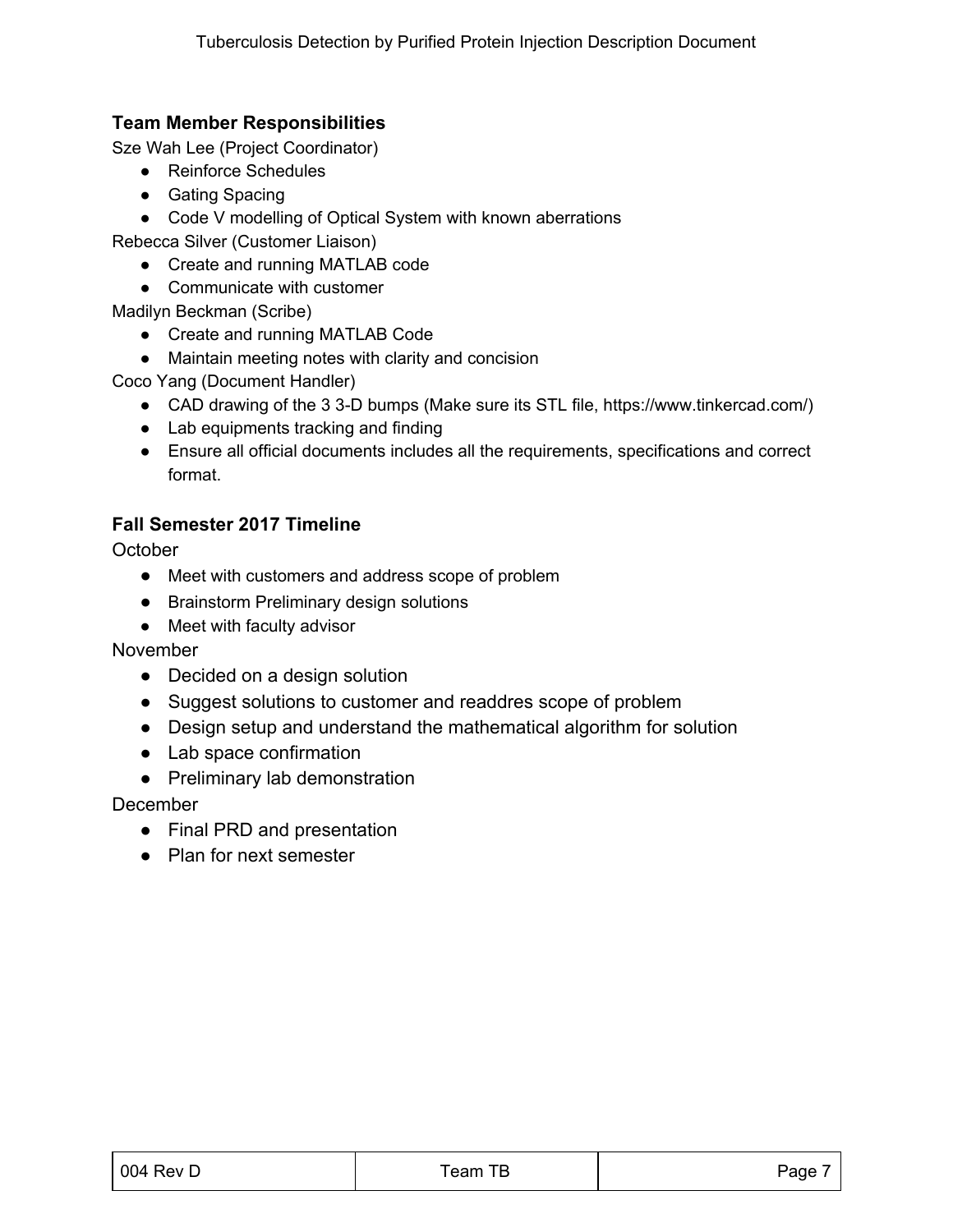#### **Team Member Responsibilities**

Sze Wah Lee (Project Coordinator)

- Reinforce Schedules
- Gating Spacing
- Code V modelling of Optical System with known aberrations

Rebecca Silver (Customer Liaison)

- Create and running MATLAB code
- Communicate with customer

Madilyn Beckman (Scribe)

- Create and running MATLAB Code
- Maintain meeting notes with clarity and concision

Coco Yang (Document Handler)

- CAD drawing of the 3 3-D bumps (Make sure its STL file, https://www.tinkercad.com/)
- Lab equipments tracking and finding
- Ensure all official documents includes all the requirements, specifications and correct format.

#### **Fall Semester 2017 Timeline**

**October** 

- Meet with customers and address scope of problem
- Brainstorm Preliminary design solutions
- Meet with faculty advisor

November

- Decided on a design solution
- Suggest solutions to customer and readdres scope of problem
- Design setup and understand the mathematical algorithm for solution
- Lab space confirmation
- Preliminary lab demonstration

December

- Final PRD and presentation
- Plan for next semester

| 004 Rev D | Team TB | Page |  |
|-----------|---------|------|--|
|           |         |      |  |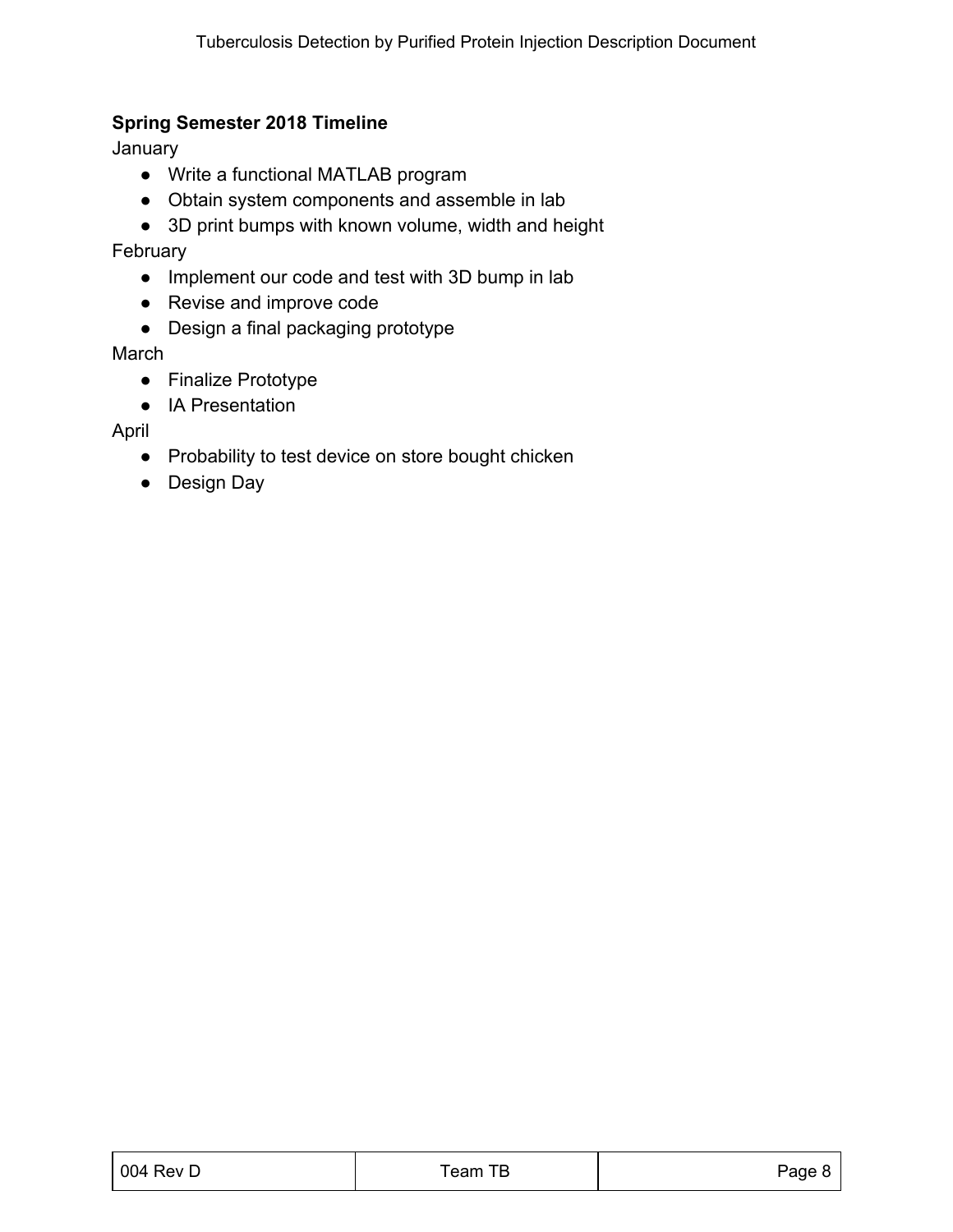#### **Spring Semester 2018 Timeline**

January

- Write a functional MATLAB program
- Obtain system components and assemble in lab
- 3D print bumps with known volume, width and height

February

- Implement our code and test with 3D bump in lab
- Revise and improve code
- Design a final packaging prototype

March

- Finalize Prototype
- IA Presentation

April

- Probability to test device on store bought chicken
- Design Day

| 004 Rev D | Team TB | Page 8 |
|-----------|---------|--------|
|           |         |        |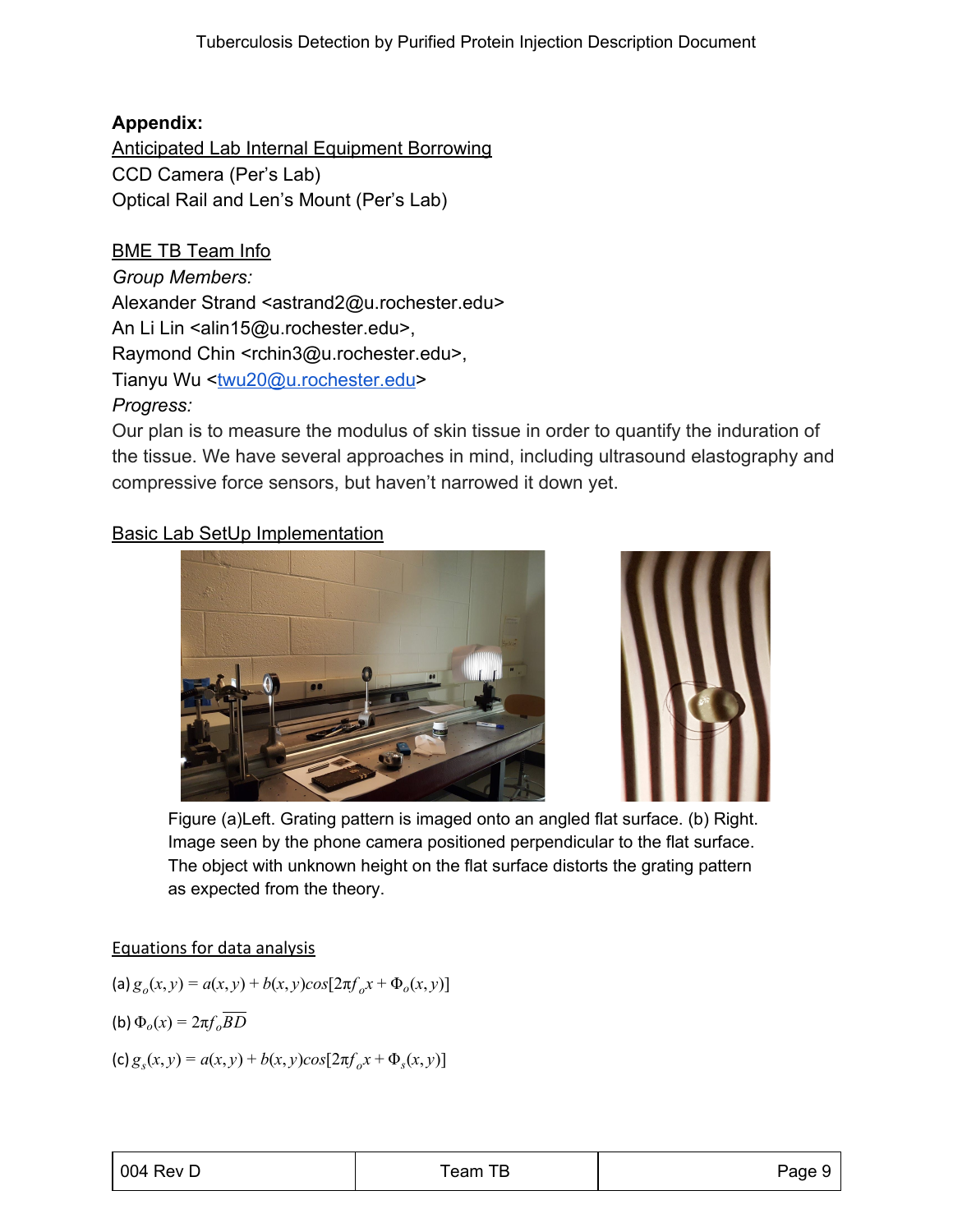## **Appendix:**

Anticipated Lab Internal Equipment Borrowing CCD Camera (Per's Lab) Optical Rail and Len's Mount (Per's Lab)

BME TB Team Info *Group Members:* Alexander Strand <astrand2@u.rochester.edu> An Li Lin <alin15@u.rochester.edu>, Raymond Chin <rchin3@u.rochester.edu>, Tianyu Wu <[twu20@u.rochester.edu](mailto:twu20@u.rochester.edu)> *Progress:*

Our plan is to measure the modulus of skin tissue in order to quantify the induration of the tissue. We have several approaches in mind, including ultrasound elastography and compressive force sensors, but haven't narrowed it down yet.

## Basic Lab SetUp Implementation





Figure (a)Left. Grating pattern is imaged onto an angled flat surface. (b) Right. Image seen by the phone camera positioned perpendicular to the flat surface. The object with unknown height on the flat surface distorts the grating pattern as expected from the theory.

### Equations for data analysis

 $(a) g_o(x, y) = a(x, y) + b(x, y) cos[2\pi f_o x + \Phi_o(x, y)]$ (b)  $\Phi_o(x) = 2\pi f_o \overline{BD}$ 

 $(c) g_s(x, y) = a(x, y) + b(x, y) cos[2\pi f_o x + \Phi_s(x, y)]$